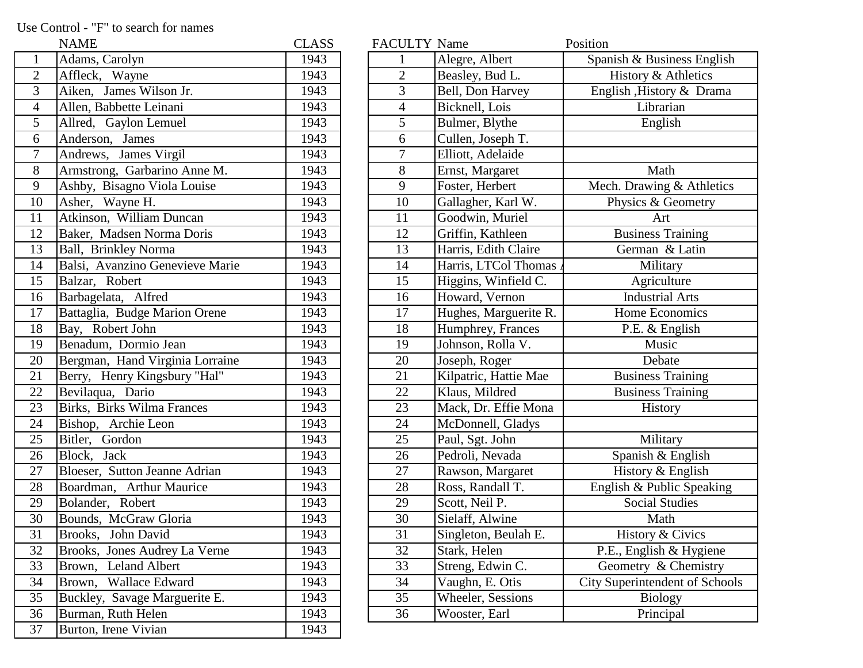Use Control - "F" to search for names

|                  | <b>NAME</b>                     | <b>CLASS</b> | <b>FACULTY Name</b>      |                       | Position                   |
|------------------|---------------------------------|--------------|--------------------------|-----------------------|----------------------------|
|                  | Adams, Carolyn                  | 1943         |                          | Alegre, Albert        | Spanish & Busines          |
| $\overline{2}$   | Affleck, Wayne                  | 1943         | $\overline{2}$           | Beasley, Bud L.       | History & Ath              |
| 3                | Aiken, James Wilson Jr.         | 1943         | $\overline{3}$           | Bell, Don Harvey      | English , History &        |
| $\overline{4}$   | Allen, Babbette Leinani         | 1943         | $\overline{\mathcal{A}}$ | Bicknell, Lois        | Librarian                  |
| 5                | Allred, Gaylon Lemuel           | 1943         | 5                        | Bulmer, Blythe        | English                    |
| 6                | Anderson, James                 | 1943         | 6                        | Cullen, Joseph T.     |                            |
| $\boldsymbol{7}$ | Andrews, James Virgil           | 1943         | 7                        | Elliott, Adelaide     |                            |
| 8                | Armstrong, Garbarino Anne M.    | 1943         | $8\,$                    | Ernst, Margaret       | Math                       |
| 9                | Ashby, Bisagno Viola Louise     | 1943         | 9                        | Foster, Herbert       | Mech. Drawing &            |
| 10               | Asher, Wayne H.                 | 1943         | 10                       | Gallagher, Karl W.    | Physics & Geo              |
| 11               | Atkinson, William Duncan        | 1943         | 11                       | Goodwin, Muriel       | Art                        |
| 12               | Baker, Madsen Norma Doris       | 1943         | 12                       | Griffin, Kathleen     | <b>Business Trai</b>       |
| 13               | Ball, Brinkley Norma            | 1943         | 13                       | Harris, Edith Claire  | German & L                 |
| 14               | Balsi, Avanzino Genevieve Marie | 1943         | 14                       | Harris, LTCol Thomas  | Military                   |
| 15               | Balzar, Robert                  | 1943         | 15                       | Higgins, Winfield C.  | Agricultur                 |
| 16               | Barbagelata, Alfred             | 1943         | 16                       | Howard, Vernon        | Industrial A               |
| 17               | Battaglia, Budge Marion Orene   | 1943         | 17                       | Hughes, Marguerite R. | Home Econor                |
| 18               | Bay, Robert John                | 1943         | 18                       | Humphrey, Frances     | P.E. & Engl                |
| 19               | Benadum, Dormio Jean            | 1943         | 19                       | Johnson, Rolla V.     | Music                      |
| 20               | Bergman, Hand Virginia Lorraine | 1943         | 20                       | Joseph, Roger         | Debate                     |
| 21               | Berry, Henry Kingsbury "Hal"    | 1943         | 21                       | Kilpatric, Hattie Mae | <b>Business Trai</b>       |
| 22               | Bevilaqua, Dario                | 1943         | 22                       | Klaus, Mildred        | <b>Business Trai</b>       |
| 23               | Birks, Birks Wilma Frances      | 1943         | 23                       | Mack, Dr. Effie Mona  | History                    |
| 24               | Bishop, Archie Leon             | 1943         | 24                       | McDonnell, Gladys     |                            |
| 25               | Bitler, Gordon                  | 1943         | 25                       | Paul, Sgt. John       | Military                   |
| 26               | Block, Jack                     | 1943         | 26                       | Pedroli, Nevada       | Spanish & En               |
| 27               | Bloeser, Sutton Jeanne Adrian   | 1943         | 27                       | Rawson, Margaret      | History $&$ En             |
| 28               | Boardman, Arthur Maurice        | 1943         | 28                       | Ross, Randall T.      | English & Public           |
| 29               | Bolander, Robert                | 1943         | 29                       | Scott, Neil P.        | <b>Social Stud</b>         |
| 30               | Bounds, McGraw Gloria           | 1943         | 30                       | Sielaff, Alwine       | Math                       |
| 31               | Brooks, John David              | 1943         | 31                       | Singleton, Beulah E.  | History & Ci               |
| 32               | Brooks, Jones Audrey La Verne   | 1943         | 32                       | Stark, Helen          | P.E., English $\&$ l       |
| 33               | Brown, Leland Albert            | 1943         | 33                       | Streng, Edwin C.      | Geometry & Ch              |
| 34               | Brown, Wallace Edward           | 1943         | 34                       | Vaughn, E. Otis       | <b>City Superintendent</b> |
| 35               | Buckley, Savage Marguerite E.   | 1943         | 35                       | Wheeler, Sessions     | <b>Biology</b>             |
| 36               | Burman, Ruth Helen              | 1943         | 36                       | Wooster, Earl         | Principal                  |
| 37               | Burton, Irene Vivian            | 1943         |                          |                       |                            |

|                 | <b>NAME</b>                     | <b>CLASS</b> | <b>FACULTY Name</b> |                       | Position                              |
|-----------------|---------------------------------|--------------|---------------------|-----------------------|---------------------------------------|
| $\mathbf{1}$    | Adams, Carolyn                  | 1943         |                     | Alegre, Albert        | Spanish & Business English            |
| $\overline{2}$  | Affleck, Wayne                  | 1943         | $\overline{2}$      | Beasley, Bud L.       | History & Athletics                   |
| $\overline{3}$  | Aiken, James Wilson Jr.         | 1943         | 3                   | Bell, Don Harvey      | English , History & Drama             |
| $\overline{4}$  | Allen, Babbette Leinani         | 1943         | $\overline{4}$      | Bicknell, Lois        | Librarian                             |
| $\overline{5}$  | Allred, Gaylon Lemuel           | 1943         | 5                   | Bulmer, Blythe        | English                               |
| 6               | Anderson, James                 | 1943         | 6                   | Cullen, Joseph T.     |                                       |
| $\overline{7}$  | Andrews, James Virgil           | 1943         | $\overline{7}$      | Elliott, Adelaide     |                                       |
| $\overline{8}$  | Armstrong, Garbarino Anne M.    | 1943         | $8\,$               | Ernst, Margaret       | Math                                  |
| 9               | Ashby, Bisagno Viola Louise     | 1943         | 9                   | Foster, Herbert       | Mech. Drawing & Athletics             |
| $\overline{10}$ | Asher, Wayne H.                 | 1943         | 10                  | Gallagher, Karl W.    | Physics & Geometry                    |
| 11              | Atkinson, William Duncan        | 1943         | 11                  | Goodwin, Muriel       | Art                                   |
| 12              | Baker, Madsen Norma Doris       | 1943         | 12                  | Griffin, Kathleen     | <b>Business Training</b>              |
| $\overline{13}$ | Ball, Brinkley Norma            | 1943         | 13                  | Harris, Edith Claire  | German & Latin                        |
| $\overline{14}$ | Balsi, Avanzino Genevieve Marie | 1943         | 14                  | Harris, LTCol Thomas  | Military                              |
| 15              | Balzar, Robert                  | 1943         | 15                  | Higgins, Winfield C.  | Agriculture                           |
| 16              | Barbagelata, Alfred             | 1943         | 16                  | Howard, Vernon        | <b>Industrial Arts</b>                |
| 17              | Battaglia, Budge Marion Orene   | 1943         | 17                  | Hughes, Marguerite R. | Home Economics                        |
| 18              | Bay, Robert John                | 1943         | 18                  | Humphrey, Frances     | $\overline{P}$ .E. & English          |
| 19              | Benadum, Dormio Jean            | 1943         | 19                  | Johnson, Rolla V.     | Music                                 |
| 20              | Bergman, Hand Virginia Lorraine | 1943         | 20                  | Joseph, Roger         | Debate                                |
| $\overline{21}$ | Berry, Henry Kingsbury "Hal"    | 1943         | 21                  | Kilpatric, Hattie Mae | <b>Business Training</b>              |
| 22              | Bevilaqua, Dario                | 1943         | 22                  | Klaus, Mildred        | <b>Business Training</b>              |
| 23              | Birks, Birks Wilma Frances      | 1943         | 23                  | Mack, Dr. Effie Mona  | History                               |
| 24              | Bishop, Archie Leon             | 1943         | 24                  | McDonnell, Gladys     |                                       |
| 25              | Bitler, Gordon                  | 1943         | 25                  | Paul, Sgt. John       | Military                              |
| 26              | Block, Jack                     | 1943         | 26                  | Pedroli, Nevada       | Spanish & English                     |
| $\overline{27}$ | Bloeser, Sutton Jeanne Adrian   | 1943         | 27                  | Rawson, Margaret      | History & English                     |
| 28              | Boardman, Arthur Maurice        | 1943         | 28                  | Ross, Randall T.      | English & Public Speaking             |
| 29              | Bolander, Robert                | 1943         | 29                  | Scott, Neil P.        | <b>Social Studies</b>                 |
| $\overline{30}$ | Bounds, McGraw Gloria           | 1943         | 30                  | Sielaff, Alwine       | Math                                  |
| 31              | Brooks, John David              | 1943         | 31                  | Singleton, Beulah E.  | History & Civics                      |
| $\overline{32}$ | Brooks, Jones Audrey La Verne   | 1943         | 32                  | Stark, Helen          | P.E., English & Hygiene               |
| 33              | Brown, Leland Albert            | 1943         | 33                  | Streng, Edwin C.      | Geometry & Chemistry                  |
| 34              | Brown, Wallace Edward           | 1943         | 34                  | Vaughn, E. Otis       | <b>City Superintendent of Schools</b> |
| $\overline{35}$ | Buckley, Savage Marguerite E.   | 1943         | 35                  | Wheeler, Sessions     | <b>Biology</b>                        |
| 36              | Burman, Ruth Helen              | 1943         | 36                  | Wooster, Earl         | Principal                             |
|                 |                                 |              |                     |                       |                                       |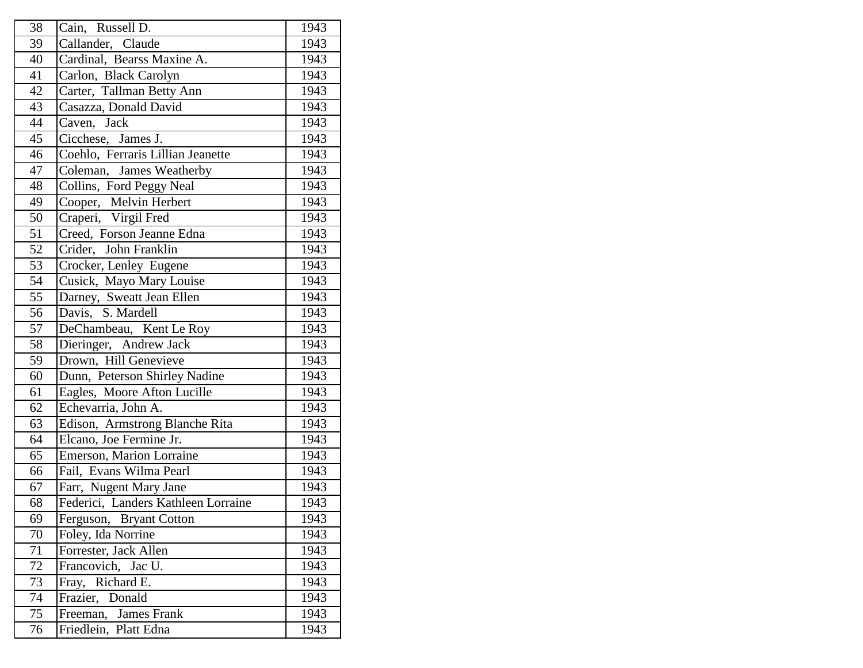| 38              | Cain, Russell D.                    | 1943 |
|-----------------|-------------------------------------|------|
| 39              | Callander, Claude                   | 1943 |
| 40              | Cardinal, Bearss Maxine A.          | 1943 |
| 41              | Carlon, Black Carolyn               | 1943 |
| 42              | Carter, Tallman Betty Ann           | 1943 |
| 43              | Casazza, Donald David               | 1943 |
| 44              | Jack<br>Caven,                      | 1943 |
| 45              | Cicchese, James J.                  | 1943 |
| 46              | Coehlo, Ferraris Lillian Jeanette   | 1943 |
| 47              | Coleman, James Weatherby            | 1943 |
| 48              | Collins, Ford Peggy Neal            | 1943 |
| 49              | Cooper, Melvin Herbert              | 1943 |
| 50              | Craperi, Virgil Fred                | 1943 |
| 51              | Creed, Forson Jeanne Edna           | 1943 |
| 52              | Crider, John Franklin               | 1943 |
| $\overline{53}$ | Crocker, Lenley Eugene              | 1943 |
| 54              | Cusick, Mayo Mary Louise            | 1943 |
| 55              | Darney, Sweatt Jean Ellen           | 1943 |
| 56              | Davis, S. Mardell                   | 1943 |
| 57              | DeChambeau, Kent Le Roy             | 1943 |
| 58              | Dieringer, Andrew Jack              | 1943 |
| 59              | Drown, Hill Genevieve               | 1943 |
| 60              | Dunn, Peterson Shirley Nadine       | 1943 |
| 61              | Eagles, Moore Afton Lucille         | 1943 |
| 62              | Echevarria, John A.                 | 1943 |
| 63              | Edison, Armstrong Blanche Rita      | 1943 |
| 64              | Elcano, Joe Fermine Jr.             | 1943 |
| 65              | Emerson, Marion Lorraine            | 1943 |
| 66              | Fail, Evans Wilma Pearl             | 1943 |
| 67              | Farr, Nugent Mary Jane              | 1943 |
| 68              | Federici, Landers Kathleen Lorraine | 1943 |
| 69              | Ferguson, Bryant Cotton             | 1943 |
| 70              | Foley, Ida Norrine                  | 1943 |
| 71              | Forrester, Jack Allen               | 1943 |
| 72              | Francovich, Jac U.                  | 1943 |
| 73              | Fray, Richard E.                    | 1943 |
| 74              | Frazier, Donald                     | 1943 |
| 75              | Freeman, James Frank                | 1943 |
| 76              | Friedlein, Platt Edna               | 1943 |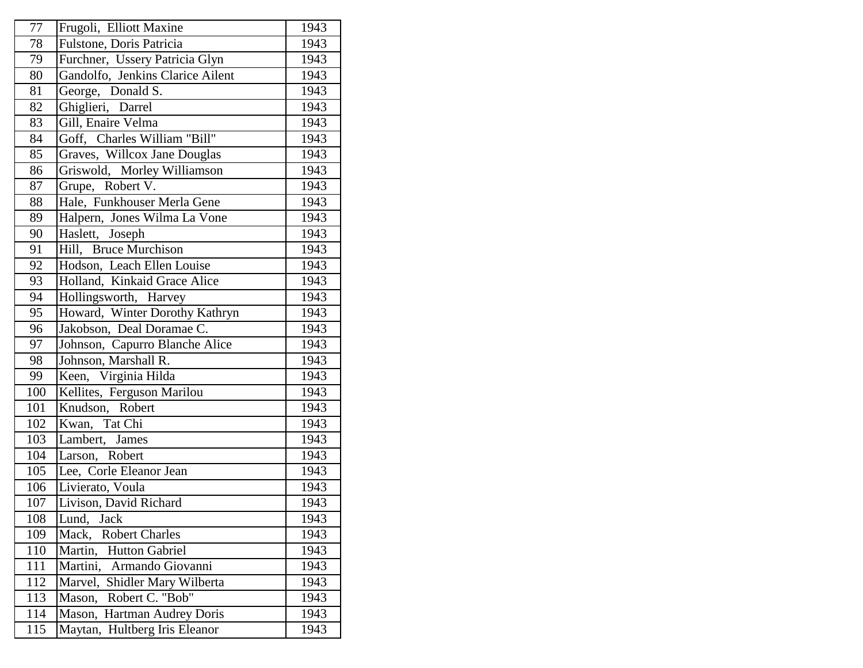| 77              | Frugoli, Elliott Maxine          | 1943 |
|-----------------|----------------------------------|------|
| $\overline{78}$ | Fulstone, Doris Patricia         | 1943 |
| 79              | Furchner, Ussery Patricia Glyn   | 1943 |
| 80              | Gandolfo, Jenkins Clarice Ailent | 1943 |
| 81              | George, Donald S.                | 1943 |
| 82              | Ghiglieri, Darrel                | 1943 |
| 83              | Gill, Enaire Velma               | 1943 |
| 84              | Goff, Charles William "Bill"     | 1943 |
| 85              | Graves, Willcox Jane Douglas     | 1943 |
| 86              | Griswold, Morley Williamson      | 1943 |
| 87              | Grupe, Robert V.                 | 1943 |
| 88              | Hale, Funkhouser Merla Gene      | 1943 |
| 89              | Halpern, Jones Wilma La Vone     | 1943 |
| 90              | Haslett, Joseph                  | 1943 |
| 91              | Hill, Bruce Murchison            | 1943 |
| 92              | Hodson, Leach Ellen Louise       | 1943 |
| 93              | Holland, Kinkaid Grace Alice     | 1943 |
| 94              | Hollingsworth, Harvey            | 1943 |
| 95              | Howard, Winter Dorothy Kathryn   | 1943 |
| 96              | Jakobson, Deal Doramae C.        | 1943 |
| 97              | Johnson, Capurro Blanche Alice   | 1943 |
| 98              | Johnson, Marshall R.             | 1943 |
| 99              | Keen, Virginia Hilda             | 1943 |
| 100             | Kellites, Ferguson Marilou       | 1943 |
| 101             | Knudson, Robert                  | 1943 |
| 102             | Kwan, Tat Chi                    | 1943 |
| 103             | Lambert, James                   | 1943 |
| 104             | Larson, Robert                   | 1943 |
| 105             | Lee, Corle Eleanor Jean          | 1943 |
| 106             | Livierato, Voula                 | 1943 |
| 107             | Livison, David Richard           | 1943 |
| 108             | Lund, Jack                       | 1943 |
| 109             | Mack, Robert Charles             | 1943 |
| 110             | Martin,<br><b>Hutton Gabriel</b> | 1943 |
| 111             | Martini, Armando Giovanni        | 1943 |
| 112             | Marvel, Shidler Mary Wilberta    | 1943 |
| 113             | Robert C. "Bob"<br>Mason,        | 1943 |
| 114             | Mason, Hartman Audrey Doris      | 1943 |
| 115             | Maytan, Hultberg Iris Eleanor    | 1943 |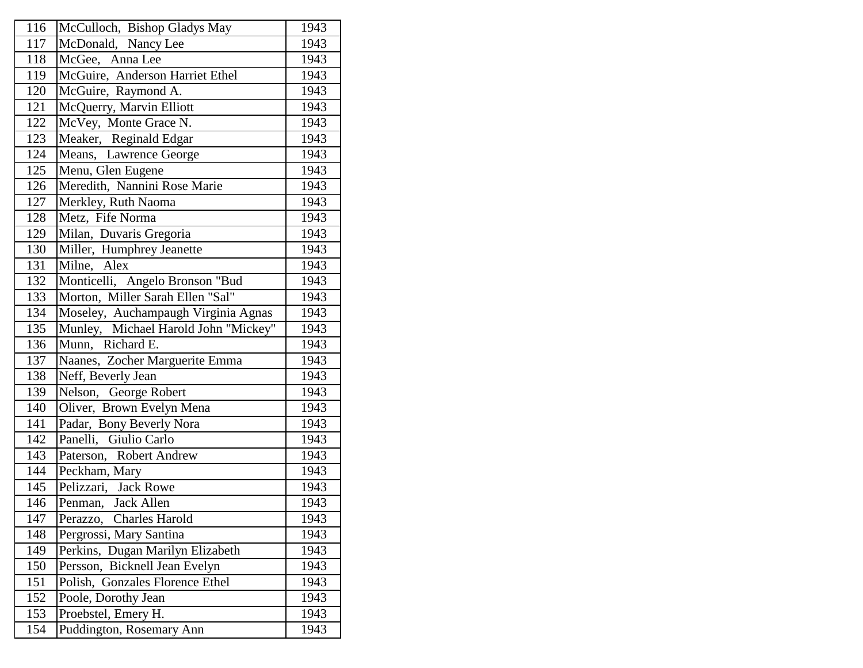| 116<br>McCulloch, Bishop Gladys May<br>1943<br>117<br>McDonald, Nancy Lee<br>1943<br>1943<br>118<br>McGee, Anna Lee<br>McGuire, Anderson Harriet Ethel<br>119<br>1943<br>120<br>McGuire, Raymond A.<br>1943<br>McQuerry, Marvin Elliott<br>121<br>1943<br>1943<br>122<br>McVey, Monte Grace N.<br>Meaker, Reginald Edgar<br>1943<br>123<br>Means, Lawrence George<br>124<br>1943<br>Menu, Glen Eugene<br>1943<br>125<br>Meredith, Nannini Rose Marie<br>126<br>1943<br>Merkley, Ruth Naoma<br>1943<br>127<br>128<br>Metz, Fife Norma<br>1943<br>Milan, Duvaris Gregoria<br>1943<br>129<br>Miller, Humphrey Jeanette<br>130<br>1943<br>131<br>1943<br>Milne, Alex<br>132<br>Monticelli, Angelo Bronson "Bud<br>1943<br>Morton, Miller Sarah Ellen "Sal"<br>133<br>1943<br>134<br>Moseley, Auchampaugh Virginia Agnas<br>1943<br>Munley, Michael Harold John "Mickey"<br>135<br>1943<br>136<br>Munn, Richard E.<br>1943<br>Naanes, Zocher Marguerite Emma<br>137<br>1943<br>138<br>1943<br>Neff, Beverly Jean<br>139<br>Nelson, George Robert<br>1943<br>Oliver, Brown Evelyn Mena<br>140<br>1943<br>141<br>1943<br>Padar, Bony Beverly Nora<br>Panelli, Giulio Carlo<br>142<br>1943<br>1943<br>143<br>Paterson, Robert Andrew<br>144<br>1943<br>Peckham, Mary<br>Pelizzari, Jack Rowe<br>145<br>1943<br>1943<br>$\overline{1}$ 46<br>Penman, Jack Allen<br>Perazzo, Charles Harold<br>147<br>1943<br>Pergrossi, Mary Santina<br>148<br>1943<br>Perkins, Dugan Marilyn Elizabeth<br>149<br>1943<br>150<br>Persson, Bicknell Jean Evelyn<br>1943<br>Polish, Gonzales Florence Ethel<br>151<br>1943<br>152<br>Poole, Dorothy Jean<br>1943<br>153<br>Proebstel, Emery H.<br>1943<br>154<br>Puddington, Rosemary Ann<br>1943 |  |  |
|------------------------------------------------------------------------------------------------------------------------------------------------------------------------------------------------------------------------------------------------------------------------------------------------------------------------------------------------------------------------------------------------------------------------------------------------------------------------------------------------------------------------------------------------------------------------------------------------------------------------------------------------------------------------------------------------------------------------------------------------------------------------------------------------------------------------------------------------------------------------------------------------------------------------------------------------------------------------------------------------------------------------------------------------------------------------------------------------------------------------------------------------------------------------------------------------------------------------------------------------------------------------------------------------------------------------------------------------------------------------------------------------------------------------------------------------------------------------------------------------------------------------------------------------------------------------------------------------------------------------------------------------------------------------------------------------------------------------|--|--|
|                                                                                                                                                                                                                                                                                                                                                                                                                                                                                                                                                                                                                                                                                                                                                                                                                                                                                                                                                                                                                                                                                                                                                                                                                                                                                                                                                                                                                                                                                                                                                                                                                                                                                                                        |  |  |
|                                                                                                                                                                                                                                                                                                                                                                                                                                                                                                                                                                                                                                                                                                                                                                                                                                                                                                                                                                                                                                                                                                                                                                                                                                                                                                                                                                                                                                                                                                                                                                                                                                                                                                                        |  |  |
|                                                                                                                                                                                                                                                                                                                                                                                                                                                                                                                                                                                                                                                                                                                                                                                                                                                                                                                                                                                                                                                                                                                                                                                                                                                                                                                                                                                                                                                                                                                                                                                                                                                                                                                        |  |  |
|                                                                                                                                                                                                                                                                                                                                                                                                                                                                                                                                                                                                                                                                                                                                                                                                                                                                                                                                                                                                                                                                                                                                                                                                                                                                                                                                                                                                                                                                                                                                                                                                                                                                                                                        |  |  |
|                                                                                                                                                                                                                                                                                                                                                                                                                                                                                                                                                                                                                                                                                                                                                                                                                                                                                                                                                                                                                                                                                                                                                                                                                                                                                                                                                                                                                                                                                                                                                                                                                                                                                                                        |  |  |
|                                                                                                                                                                                                                                                                                                                                                                                                                                                                                                                                                                                                                                                                                                                                                                                                                                                                                                                                                                                                                                                                                                                                                                                                                                                                                                                                                                                                                                                                                                                                                                                                                                                                                                                        |  |  |
|                                                                                                                                                                                                                                                                                                                                                                                                                                                                                                                                                                                                                                                                                                                                                                                                                                                                                                                                                                                                                                                                                                                                                                                                                                                                                                                                                                                                                                                                                                                                                                                                                                                                                                                        |  |  |
|                                                                                                                                                                                                                                                                                                                                                                                                                                                                                                                                                                                                                                                                                                                                                                                                                                                                                                                                                                                                                                                                                                                                                                                                                                                                                                                                                                                                                                                                                                                                                                                                                                                                                                                        |  |  |
|                                                                                                                                                                                                                                                                                                                                                                                                                                                                                                                                                                                                                                                                                                                                                                                                                                                                                                                                                                                                                                                                                                                                                                                                                                                                                                                                                                                                                                                                                                                                                                                                                                                                                                                        |  |  |
|                                                                                                                                                                                                                                                                                                                                                                                                                                                                                                                                                                                                                                                                                                                                                                                                                                                                                                                                                                                                                                                                                                                                                                                                                                                                                                                                                                                                                                                                                                                                                                                                                                                                                                                        |  |  |
|                                                                                                                                                                                                                                                                                                                                                                                                                                                                                                                                                                                                                                                                                                                                                                                                                                                                                                                                                                                                                                                                                                                                                                                                                                                                                                                                                                                                                                                                                                                                                                                                                                                                                                                        |  |  |
|                                                                                                                                                                                                                                                                                                                                                                                                                                                                                                                                                                                                                                                                                                                                                                                                                                                                                                                                                                                                                                                                                                                                                                                                                                                                                                                                                                                                                                                                                                                                                                                                                                                                                                                        |  |  |
|                                                                                                                                                                                                                                                                                                                                                                                                                                                                                                                                                                                                                                                                                                                                                                                                                                                                                                                                                                                                                                                                                                                                                                                                                                                                                                                                                                                                                                                                                                                                                                                                                                                                                                                        |  |  |
|                                                                                                                                                                                                                                                                                                                                                                                                                                                                                                                                                                                                                                                                                                                                                                                                                                                                                                                                                                                                                                                                                                                                                                                                                                                                                                                                                                                                                                                                                                                                                                                                                                                                                                                        |  |  |
|                                                                                                                                                                                                                                                                                                                                                                                                                                                                                                                                                                                                                                                                                                                                                                                                                                                                                                                                                                                                                                                                                                                                                                                                                                                                                                                                                                                                                                                                                                                                                                                                                                                                                                                        |  |  |
|                                                                                                                                                                                                                                                                                                                                                                                                                                                                                                                                                                                                                                                                                                                                                                                                                                                                                                                                                                                                                                                                                                                                                                                                                                                                                                                                                                                                                                                                                                                                                                                                                                                                                                                        |  |  |
|                                                                                                                                                                                                                                                                                                                                                                                                                                                                                                                                                                                                                                                                                                                                                                                                                                                                                                                                                                                                                                                                                                                                                                                                                                                                                                                                                                                                                                                                                                                                                                                                                                                                                                                        |  |  |
|                                                                                                                                                                                                                                                                                                                                                                                                                                                                                                                                                                                                                                                                                                                                                                                                                                                                                                                                                                                                                                                                                                                                                                                                                                                                                                                                                                                                                                                                                                                                                                                                                                                                                                                        |  |  |
|                                                                                                                                                                                                                                                                                                                                                                                                                                                                                                                                                                                                                                                                                                                                                                                                                                                                                                                                                                                                                                                                                                                                                                                                                                                                                                                                                                                                                                                                                                                                                                                                                                                                                                                        |  |  |
|                                                                                                                                                                                                                                                                                                                                                                                                                                                                                                                                                                                                                                                                                                                                                                                                                                                                                                                                                                                                                                                                                                                                                                                                                                                                                                                                                                                                                                                                                                                                                                                                                                                                                                                        |  |  |
|                                                                                                                                                                                                                                                                                                                                                                                                                                                                                                                                                                                                                                                                                                                                                                                                                                                                                                                                                                                                                                                                                                                                                                                                                                                                                                                                                                                                                                                                                                                                                                                                                                                                                                                        |  |  |
|                                                                                                                                                                                                                                                                                                                                                                                                                                                                                                                                                                                                                                                                                                                                                                                                                                                                                                                                                                                                                                                                                                                                                                                                                                                                                                                                                                                                                                                                                                                                                                                                                                                                                                                        |  |  |
|                                                                                                                                                                                                                                                                                                                                                                                                                                                                                                                                                                                                                                                                                                                                                                                                                                                                                                                                                                                                                                                                                                                                                                                                                                                                                                                                                                                                                                                                                                                                                                                                                                                                                                                        |  |  |
|                                                                                                                                                                                                                                                                                                                                                                                                                                                                                                                                                                                                                                                                                                                                                                                                                                                                                                                                                                                                                                                                                                                                                                                                                                                                                                                                                                                                                                                                                                                                                                                                                                                                                                                        |  |  |
|                                                                                                                                                                                                                                                                                                                                                                                                                                                                                                                                                                                                                                                                                                                                                                                                                                                                                                                                                                                                                                                                                                                                                                                                                                                                                                                                                                                                                                                                                                                                                                                                                                                                                                                        |  |  |
|                                                                                                                                                                                                                                                                                                                                                                                                                                                                                                                                                                                                                                                                                                                                                                                                                                                                                                                                                                                                                                                                                                                                                                                                                                                                                                                                                                                                                                                                                                                                                                                                                                                                                                                        |  |  |
|                                                                                                                                                                                                                                                                                                                                                                                                                                                                                                                                                                                                                                                                                                                                                                                                                                                                                                                                                                                                                                                                                                                                                                                                                                                                                                                                                                                                                                                                                                                                                                                                                                                                                                                        |  |  |
|                                                                                                                                                                                                                                                                                                                                                                                                                                                                                                                                                                                                                                                                                                                                                                                                                                                                                                                                                                                                                                                                                                                                                                                                                                                                                                                                                                                                                                                                                                                                                                                                                                                                                                                        |  |  |
|                                                                                                                                                                                                                                                                                                                                                                                                                                                                                                                                                                                                                                                                                                                                                                                                                                                                                                                                                                                                                                                                                                                                                                                                                                                                                                                                                                                                                                                                                                                                                                                                                                                                                                                        |  |  |
|                                                                                                                                                                                                                                                                                                                                                                                                                                                                                                                                                                                                                                                                                                                                                                                                                                                                                                                                                                                                                                                                                                                                                                                                                                                                                                                                                                                                                                                                                                                                                                                                                                                                                                                        |  |  |
|                                                                                                                                                                                                                                                                                                                                                                                                                                                                                                                                                                                                                                                                                                                                                                                                                                                                                                                                                                                                                                                                                                                                                                                                                                                                                                                                                                                                                                                                                                                                                                                                                                                                                                                        |  |  |
|                                                                                                                                                                                                                                                                                                                                                                                                                                                                                                                                                                                                                                                                                                                                                                                                                                                                                                                                                                                                                                                                                                                                                                                                                                                                                                                                                                                                                                                                                                                                                                                                                                                                                                                        |  |  |
|                                                                                                                                                                                                                                                                                                                                                                                                                                                                                                                                                                                                                                                                                                                                                                                                                                                                                                                                                                                                                                                                                                                                                                                                                                                                                                                                                                                                                                                                                                                                                                                                                                                                                                                        |  |  |
|                                                                                                                                                                                                                                                                                                                                                                                                                                                                                                                                                                                                                                                                                                                                                                                                                                                                                                                                                                                                                                                                                                                                                                                                                                                                                                                                                                                                                                                                                                                                                                                                                                                                                                                        |  |  |
|                                                                                                                                                                                                                                                                                                                                                                                                                                                                                                                                                                                                                                                                                                                                                                                                                                                                                                                                                                                                                                                                                                                                                                                                                                                                                                                                                                                                                                                                                                                                                                                                                                                                                                                        |  |  |
|                                                                                                                                                                                                                                                                                                                                                                                                                                                                                                                                                                                                                                                                                                                                                                                                                                                                                                                                                                                                                                                                                                                                                                                                                                                                                                                                                                                                                                                                                                                                                                                                                                                                                                                        |  |  |
|                                                                                                                                                                                                                                                                                                                                                                                                                                                                                                                                                                                                                                                                                                                                                                                                                                                                                                                                                                                                                                                                                                                                                                                                                                                                                                                                                                                                                                                                                                                                                                                                                                                                                                                        |  |  |
|                                                                                                                                                                                                                                                                                                                                                                                                                                                                                                                                                                                                                                                                                                                                                                                                                                                                                                                                                                                                                                                                                                                                                                                                                                                                                                                                                                                                                                                                                                                                                                                                                                                                                                                        |  |  |
|                                                                                                                                                                                                                                                                                                                                                                                                                                                                                                                                                                                                                                                                                                                                                                                                                                                                                                                                                                                                                                                                                                                                                                                                                                                                                                                                                                                                                                                                                                                                                                                                                                                                                                                        |  |  |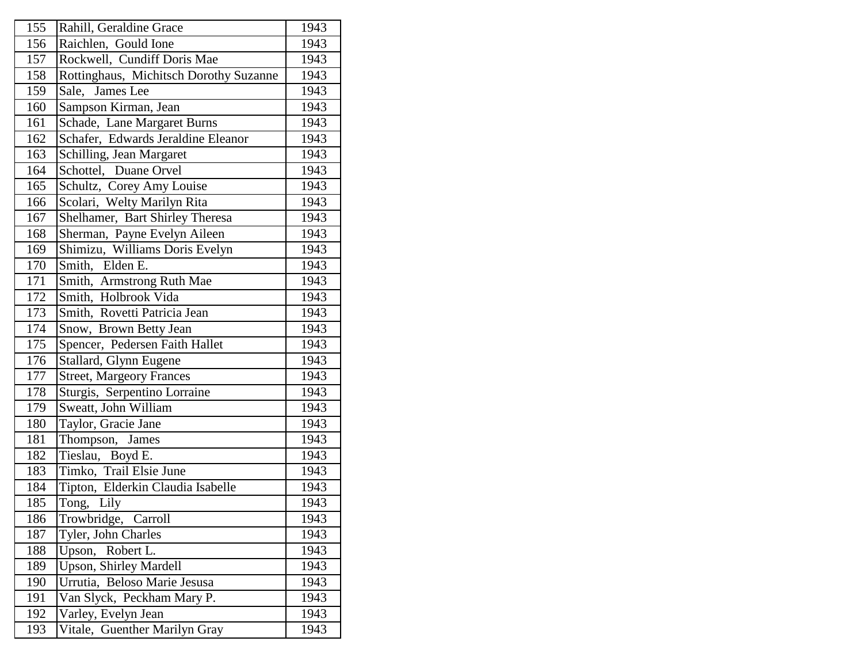| 155 | Rahill, Geraldine Grace                | 1943 |
|-----|----------------------------------------|------|
| 156 | Raichlen, Gould Ione                   | 1943 |
| 157 | Rockwell, Cundiff Doris Mae            | 1943 |
| 158 | Rottinghaus, Michitsch Dorothy Suzanne | 1943 |
| 159 | Sale, James Lee                        | 1943 |
| 160 | Sampson Kirman, Jean                   | 1943 |
| 161 | Schade, Lane Margaret Burns            | 1943 |
| 162 | Schafer, Edwards Jeraldine Eleanor     | 1943 |
| 163 | Schilling, Jean Margaret               | 1943 |
| 164 | Schottel, Duane Orvel                  | 1943 |
| 165 | Schultz, Corey Amy Louise              | 1943 |
| 166 | Scolari, Welty Marilyn Rita            | 1943 |
| 167 | Shelhamer, Bart Shirley Theresa        | 1943 |
| 168 | Sherman, Payne Evelyn Aileen           | 1943 |
| 169 | Shimizu, Williams Doris Evelyn         | 1943 |
| 170 | Smith, Elden E.                        | 1943 |
| 171 | Smith, Armstrong Ruth Mae              | 1943 |
| 172 | Smith, Holbrook Vida                   | 1943 |
| 173 | Smith, Rovetti Patricia Jean           | 1943 |
| 174 | Snow, Brown Betty Jean                 | 1943 |
| 175 | Spencer, Pedersen Faith Hallet         | 1943 |
| 176 | Stallard, Glynn Eugene                 | 1943 |
| 177 | <b>Street, Margeory Frances</b>        | 1943 |
| 178 | Sturgis, Serpentino Lorraine           | 1943 |
| 179 | Sweatt, John William                   | 1943 |
| 180 | Taylor, Gracie Jane                    | 1943 |
| 181 | Thompson, James                        | 1943 |
| 182 | Tieslau, Boyd E.                       | 1943 |
| 183 | Timko, Trail Elsie June                | 1943 |
| 184 | Tipton, Elderkin Claudia Isabelle      | 1943 |
| 185 | Tong, Lily                             | 1943 |
| 186 | Trowbridge, Carroll                    | 1943 |
| 187 | Tyler, John Charles                    | 1943 |
| 188 | Robert L.<br>Upson,                    | 1943 |
| 189 | <b>Upson, Shirley Mardell</b>          | 1943 |
| 190 | Urrutia, Beloso Marie Jesusa           | 1943 |
| 191 | Van Slyck, Peckham Mary P.             | 1943 |
| 192 | Varley, Evelyn Jean                    | 1943 |
| 193 | Vitale, Guenther Marilyn Gray          | 1943 |